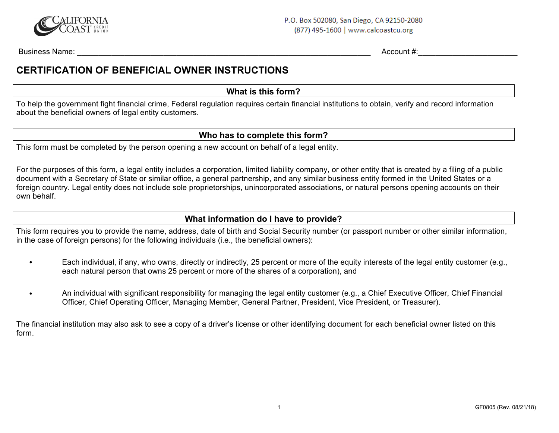

Business Name: \_\_\_\_\_\_\_\_\_\_\_\_\_\_\_\_\_\_\_\_\_\_\_\_\_\_\_\_\_\_\_\_\_\_\_\_\_\_\_\_\_\_\_\_\_\_\_\_\_\_\_\_\_\_\_\_\_\_\_\_\_\_\_\_\_\_\_\_ Account #:\_\_\_\_\_\_\_\_\_\_\_\_\_\_\_\_\_\_\_\_\_\_\_

## **CERTIFICATION OF BENEFICIAL OWNER INSTRUCTIONS**

**What is this form?** 

To help the government fight financial crime, Federal regulation requires certain financial institutions to obtain, verify and record information about the beneficial owners of legal entity customers.

## **Who has to complete this form?**

This form must be completed by the person opening a new account on behalf of a legal entity.

For the purposes of this form, a legal entity includes a corporation, limited liability company, or other entity that is created by a filing of a public document with a Secretary of State or similar office, a general partnership, and any similar business entity formed in the United States or a foreign country. Legal entity does not include sole proprietorships, unincorporated associations, or natural persons opening accounts on their own behalf.

## **What information do I have to provide?**

This form requires you to provide the name, address, date of birth and Social Security number (or passport number or other similar information, in the case of foreign persons) for the following individuals (i.e., the beneficial owners):

- Each individual, if any, who owns, directly or indirectly, 25 percent or more of the equity interests of the legal entity customer (e.g., each natural person that owns 25 percent or more of the shares of a corporation), and
- An individual with significant responsibility for managing the legal entity customer (e.g., a Chief Executive Officer, Chief Financial Officer, Chief Operating Officer, Managing Member, General Partner, President, Vice President, or Treasurer).

The financial institution may also ask to see a copy of a driver's license or other identifying document for each beneficial owner listed on this form.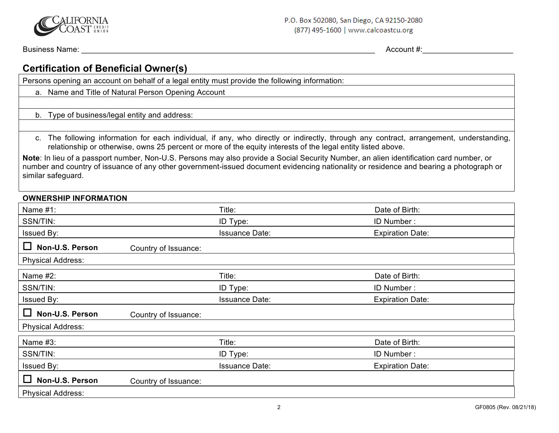

Business Name:  $\blacksquare$  Account #:

# **Certification of Beneficial Owner(s)**

Persons opening an account on behalf of a legal entity must provide the following information:

- a. Name and Title of Natural Person Opening Account
- b. Type of business/legal entity and address:

c. The following information for each individual, if any, who directly or indirectly, through any contract, arrangement, understanding, relationship or otherwise, owns 25 percent or more of the equity interests of the legal entity listed above.

**Note**: In lieu of a passport number, Non-U.S. Persons may also provide a Social Security Number, an alien identification card number, or number and country of issuance of any other government-issued document evidencing nationality or residence and bearing a photograph or similar safeguard.

#### **OWNERSHIP INFORMATION**

| Name $#1$ :              |                      | Title:                | Date of Birth:          |
|--------------------------|----------------------|-----------------------|-------------------------|
| SSN/TIN:                 |                      | ID Type:              | ID Number:              |
| Issued By:               |                      | <b>Issuance Date:</b> | <b>Expiration Date:</b> |
| Ш<br>Non-U.S. Person     | Country of Issuance: |                       |                         |
| <b>Physical Address:</b> |                      |                       |                         |
| Name $#2$ :              |                      | Title:                | Date of Birth:          |
| SSN/TIN:                 |                      | ID Type:              | ID Number:              |
| Issued By:               |                      | <b>Issuance Date:</b> | <b>Expiration Date:</b> |
| Ш<br>Non-U.S. Person     | Country of Issuance: |                       |                         |
| <b>Physical Address:</b> |                      |                       |                         |
| Name #3:                 |                      | Title:                | Date of Birth:          |
| SSN/TIN:                 |                      | ID Type:              | ID Number:              |
| Issued By:               |                      | <b>Issuance Date:</b> | <b>Expiration Date:</b> |
| Ш<br>Non-U.S. Person     | Country of Issuance: |                       |                         |
| <b>Physical Address:</b> |                      |                       |                         |